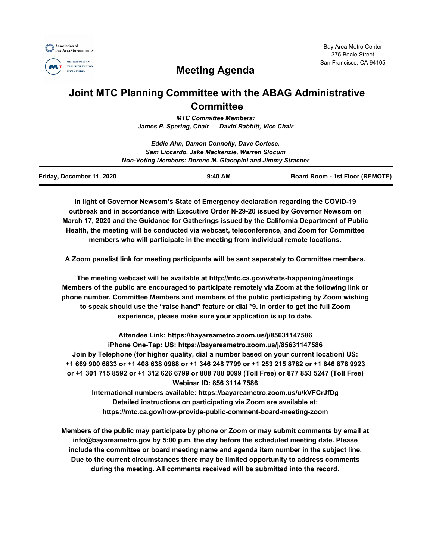



# **Meeting Agenda**

# **Joint MTC Planning Committee with the ABAG Administrative Committee**

*MTC Committee Members: James P. Spering, Chair David Rabbitt, Vice Chair*

|                           | Eddie Ahn, Damon Connolly, Dave Cortese,                   |                                 |
|---------------------------|------------------------------------------------------------|---------------------------------|
|                           | Sam Liccardo, Jake Mackenzie, Warren Slocum                |                                 |
|                           | Non-Voting Members: Dorene M. Giacopini and Jimmy Stracner |                                 |
| Friday, December 11, 2020 | $9:40$ AM                                                  | Board Room - 1st Floor (REMOTE) |

**In light of Governor Newsom's State of Emergency declaration regarding the COVID-19 outbreak and in accordance with Executive Order N-29-20 issued by Governor Newsom on March 17, 2020 and the Guidance for Gatherings issued by the California Department of Public Health, the meeting will be conducted via webcast, teleconference, and Zoom for Committee members who will participate in the meeting from individual remote locations.**

**A Zoom panelist link for meeting participants will be sent separately to Committee members.**

**The meeting webcast will be available at http://mtc.ca.gov/whats-happening/meetings Members of the public are encouraged to participate remotely via Zoom at the following link or phone number. Committee Members and members of the public participating by Zoom wishing to speak should use the "raise hand" feature or dial \*9. In order to get the full Zoom experience, please make sure your application is up to date.**

**Attendee Link: https://bayareametro.zoom.us/j/85631147586 iPhone One-Tap: US: https://bayareametro.zoom.us/j/85631147586 Join by Telephone (for higher quality, dial a number based on your current location) US: +1 669 900 6833 or +1 408 638 0968 or +1 346 248 7799 or +1 253 215 8782 or +1 646 876 9923 or +1 301 715 8592 or +1 312 626 6799 or 888 788 0099 (Toll Free) or 877 853 5247 (Toll Free) Webinar ID: 856 3114 7586 International numbers available: https://bayareametro.zoom.us/u/kVFCrJfDg**

**Detailed instructions on participating via Zoom are available at: https://mtc.ca.gov/how-provide-public-comment-board-meeting-zoom**

**Members of the public may participate by phone or Zoom or may submit comments by email at info@bayareametro.gov by 5:00 p.m. the day before the scheduled meeting date. Please include the committee or board meeting name and agenda item number in the subject line. Due to the current circumstances there may be limited opportunity to address comments during the meeting. All comments received will be submitted into the record.**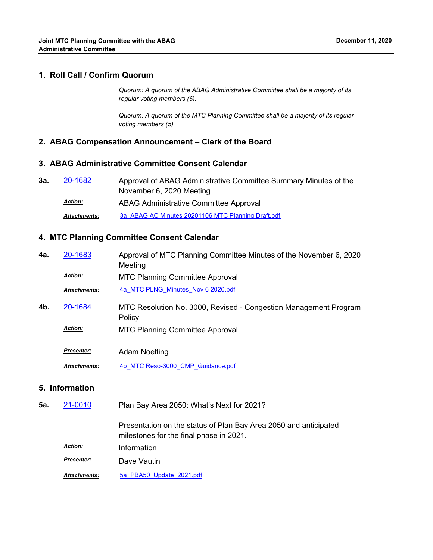### **1. Roll Call / Confirm Quorum**

*Quorum: A quorum of the ABAG Administrative Committee shall be a majority of its regular voting members (6).*

*Quorum: A quorum of the MTC Planning Committee shall be a majority of its regular voting members (5).*

#### **2. ABAG Compensation Announcement – Clerk of the Board**

### **3. ABAG Administrative Committee Consent Calendar**

| 3а. | 20-1682             | Approval of ABAG Administrative Committee Summary Minutes of the |
|-----|---------------------|------------------------------------------------------------------|
|     |                     | November 6, 2020 Meeting                                         |
|     | <b>Action:</b>      | ABAG Administrative Committee Approval                           |
|     | <b>Attachments:</b> | 3a ABAG AC Minutes 20201106 MTC Planning Draft.pdf               |

#### **4. MTC Planning Committee Consent Calendar**

| 4a. | 20-1683             | Approval of MTC Planning Committee Minutes of the November 6, 2020<br>Meeting |
|-----|---------------------|-------------------------------------------------------------------------------|
|     | <b>Action:</b>      | <b>MTC Planning Committee Approval</b>                                        |
|     | <b>Attachments:</b> | 4a MTC PLNG Minutes Nov 6 2020.pdf                                            |
| 4b. | 20-1684             | MTC Resolution No. 3000, Revised - Congestion Management Program<br>Policy    |
|     | <b>Action:</b>      | <b>MTC Planning Committee Approval</b>                                        |
|     | <b>Presenter:</b>   | <b>Adam Noelting</b>                                                          |
|     | <b>Attachments:</b> | 4b MTC Reso-3000 CMP Guidance.pdf                                             |
|     | 5. Information      |                                                                               |

Plan Bay Area 2050: What's Next for 2021? **5a.** [21-0010](http://mtc.legistar.com/gateway.aspx?m=l&id=/matter.aspx?key=21603)

> Presentation on the status of Plan Bay Area 2050 and anticipated milestones for the final phase in 2021.

*Action:* Information *Presenter:* Dave Vautin

*Attachments:* [5a\\_PBA50\\_Update\\_2021.pdf](http://mtc.legistar.com/gateway.aspx?M=F&ID=0abcf7af-8270-4310-bf44-af24c8bdca5e.pdf)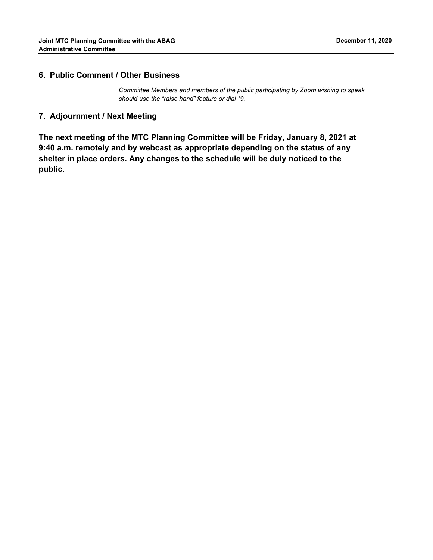### **6. Public Comment / Other Business**

*Committee Members and members of the public participating by Zoom wishing to speak should use the "raise hand" feature or dial \*9.*

## **7. Adjournment / Next Meeting**

**The next meeting of the MTC Planning Committee will be Friday, January 8, 2021 at 9:40 a.m. remotely and by webcast as appropriate depending on the status of any shelter in place orders. Any changes to the schedule will be duly noticed to the public.**